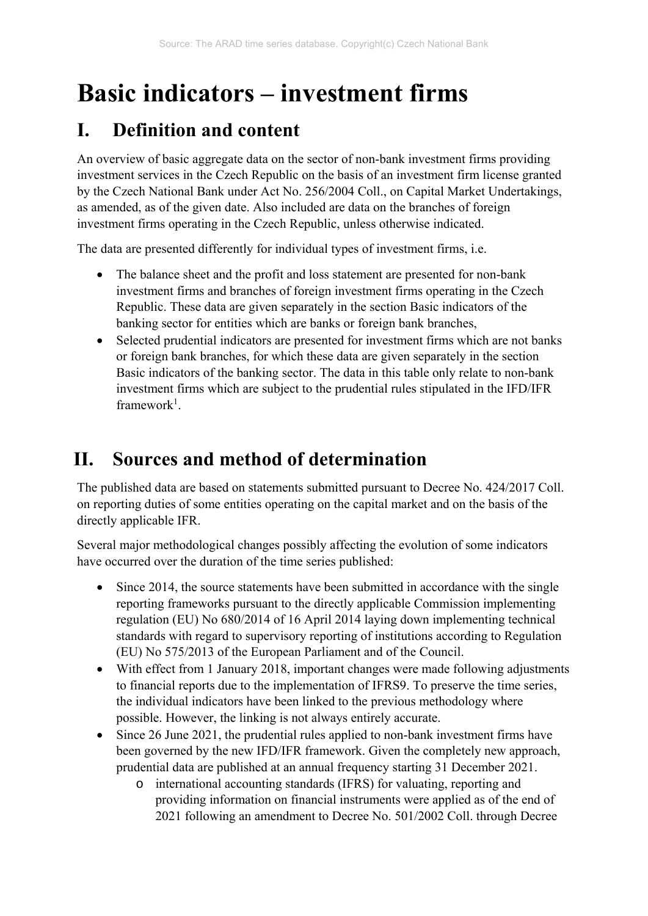# **Basic indicators – investment firms**

# **I. Definition and content**

An overview of basic aggregate data on the sector of non-bank investment firms providing investment services in the Czech Republic on the basis of an investment firm license granted by the Czech National Bank under Act No. 256/2004 Coll., on Capital Market Undertakings, as amended, as of the given date. Also included are data on the branches of foreign investment firms operating in the Czech Republic, unless otherwise indicated.

The data are presented differently for individual types of investment firms, i.e.

- The balance sheet and the profit and loss statement are presented for non-bank investment firms and branches of foreign investment firms operating in the Czech Republic. These data are given separately in the section Basic indicators of the banking sector for entities which are banks or foreign bank branches,
- Selected prudential indicators are presented for investment firms which are not banks or foreign bank branches, for which these data are given separately in the section Basic indicators of the banking sector. The data in this table only relate to non-bank investment firms which are subject to the prudential rules stipulated in the IFD/IFR  $framework<sup>1</sup>$ .

# **II. Sources and method of determination**

The published data are based on statements submitted pursuant to Decree No. 424/2017 Coll. on reporting duties of some entities operating on the capital market and on the basis of the directly applicable IFR.

Several major methodological changes possibly affecting the evolution of some indicators have occurred over the duration of the time series published:

- Since 2014, the source statements have been submitted in accordance with the single reporting frameworks pursuant to the directly applicable Commission implementing regulation (EU) No 680/2014 of 16 April 2014 laying down implementing technical standards with regard to supervisory reporting of institutions according to Regulation (EU) No 575/2013 of the European Parliament and of the Council.
- With effect from 1 January 2018, important changes were made following adjustments to financial reports due to the implementation of IFRS9. To preserve the time series, the individual indicators have been linked to the previous methodology where possible. However, the linking is not always entirely accurate.
- Since 26 June 2021, the prudential rules applied to non-bank investment firms have been governed by the new IFD/IFR framework. Given the completely new approach, prudential data are published at an annual frequency starting 31 December 2021.
	- o international accounting standards (IFRS) for valuating, reporting and providing information on financial instruments were applied as of the end of 2021 following an amendment to Decree No. 501/2002 Coll. through Decree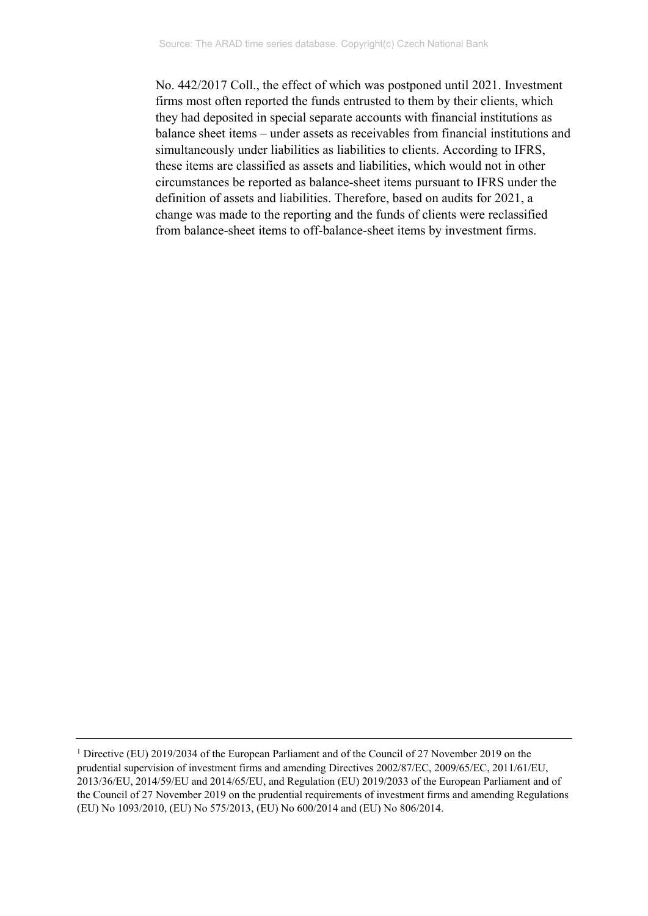No. 442/2017 Coll., the effect of which was postponed until 2021. Investment firms most often reported the funds entrusted to them by their clients, which they had deposited in special separate accounts with financial institutions as balance sheet items – under assets as receivables from financial institutions and simultaneously under liabilities as liabilities to clients. According to IFRS, these items are classified as assets and liabilities, which would not in other circumstances be reported as balance-sheet items pursuant to IFRS under the definition of assets and liabilities. Therefore, based on audits for 2021, a change was made to the reporting and the funds of clients were reclassified from balance-sheet items to off-balance-sheet items by investment firms.

<sup>&</sup>lt;sup>1</sup> Directive (EU) 2019/2034 of the European Parliament and of the Council of 27 November 2019 on the prudential supervision of investment firms and amending Directives 2002/87/EC, 2009/65/EC, 2011/61/EU, 2013/36/EU, 2014/59/EU and 2014/65/EU, and Regulation (EU) 2019/2033 of the European Parliament and of the Council of 27 November 2019 on the prudential requirements of investment firms and amending Regulations (EU) No 1093/2010, (EU) No 575/2013, (EU) No 600/2014 and (EU) No 806/2014.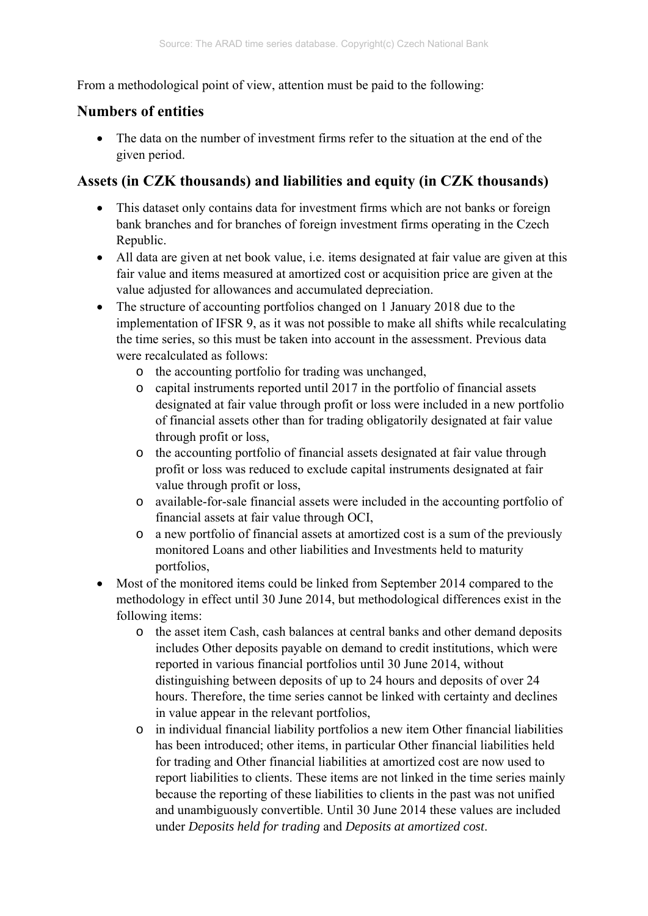From a methodological point of view, attention must be paid to the following:

#### **Numbers of entities**

 The data on the number of investment firms refer to the situation at the end of the given period.

#### **Assets (in CZK thousands) and liabilities and equity (in CZK thousands)**

- This dataset only contains data for investment firms which are not banks or foreign bank branches and for branches of foreign investment firms operating in the Czech Republic.
- All data are given at net book value, i.e. items designated at fair value are given at this fair value and items measured at amortized cost or acquisition price are given at the value adjusted for allowances and accumulated depreciation.
- The structure of accounting portfolios changed on 1 January 2018 due to the implementation of IFSR 9, as it was not possible to make all shifts while recalculating the time series, so this must be taken into account in the assessment. Previous data were recalculated as follows:
	- o the accounting portfolio for trading was unchanged,
	- o capital instruments reported until 2017 in the portfolio of financial assets designated at fair value through profit or loss were included in a new portfolio of financial assets other than for trading obligatorily designated at fair value through profit or loss,
	- o the accounting portfolio of financial assets designated at fair value through profit or loss was reduced to exclude capital instruments designated at fair value through profit or loss,
	- o available-for-sale financial assets were included in the accounting portfolio of financial assets at fair value through OCI,
	- o a new portfolio of financial assets at amortized cost is a sum of the previously monitored Loans and other liabilities and Investments held to maturity portfolios,
- Most of the monitored items could be linked from September 2014 compared to the methodology in effect until 30 June 2014, but methodological differences exist in the following items:
	- o the asset item Cash, cash balances at central banks and other demand deposits includes Other deposits payable on demand to credit institutions, which were reported in various financial portfolios until 30 June 2014, without distinguishing between deposits of up to 24 hours and deposits of over 24 hours. Therefore, the time series cannot be linked with certainty and declines in value appear in the relevant portfolios,
	- o in individual financial liability portfolios a new item Other financial liabilities has been introduced; other items, in particular Other financial liabilities held for trading and Other financial liabilities at amortized cost are now used to report liabilities to clients. These items are not linked in the time series mainly because the reporting of these liabilities to clients in the past was not unified and unambiguously convertible. Until 30 June 2014 these values are included under *Deposits held for trading* and *Deposits at amortized cost*.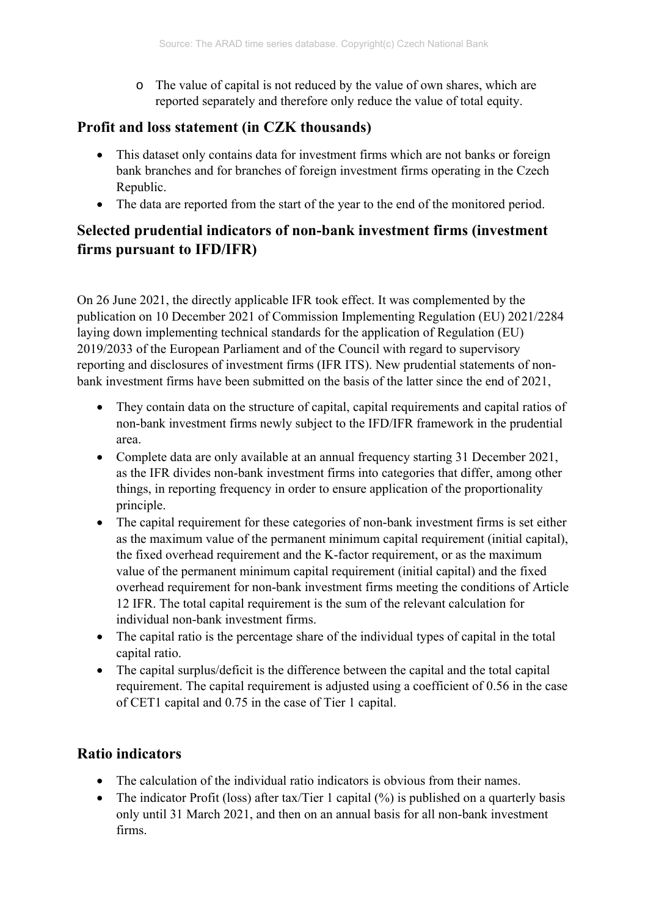o The value of capital is not reduced by the value of own shares, which are reported separately and therefore only reduce the value of total equity.

### **Profit and loss statement (in CZK thousands)**

- This dataset only contains data for investment firms which are not banks or foreign bank branches and for branches of foreign investment firms operating in the Czech Republic.
- The data are reported from the start of the year to the end of the monitored period.

### **Selected prudential indicators of non-bank investment firms (investment firms pursuant to IFD/IFR)**

On 26 June 2021, the directly applicable IFR took effect. It was complemented by the publication on 10 December 2021 of Commission Implementing Regulation (EU) 2021/2284 laying down implementing technical standards for the application of Regulation (EU) 2019/2033 of the European Parliament and of the Council with regard to supervisory reporting and disclosures of investment firms (IFR ITS). New prudential statements of nonbank investment firms have been submitted on the basis of the latter since the end of 2021,

- They contain data on the structure of capital, capital requirements and capital ratios of non-bank investment firms newly subject to the IFD/IFR framework in the prudential area.
- Complete data are only available at an annual frequency starting 31 December 2021, as the IFR divides non-bank investment firms into categories that differ, among other things, in reporting frequency in order to ensure application of the proportionality principle.
- The capital requirement for these categories of non-bank investment firms is set either as the maximum value of the permanent minimum capital requirement (initial capital), the fixed overhead requirement and the K-factor requirement, or as the maximum value of the permanent minimum capital requirement (initial capital) and the fixed overhead requirement for non-bank investment firms meeting the conditions of Article 12 IFR. The total capital requirement is the sum of the relevant calculation for individual non-bank investment firms.
- The capital ratio is the percentage share of the individual types of capital in the total capital ratio.
- The capital surplus/deficit is the difference between the capital and the total capital requirement. The capital requirement is adjusted using a coefficient of 0.56 in the case of CET1 capital and 0.75 in the case of Tier 1 capital.

#### **Ratio indicators**

- The calculation of the individual ratio indicators is obvious from their names.
- The indicator Profit (loss) after tax/Tier 1 capital (%) is published on a quarterly basis only until 31 March 2021, and then on an annual basis for all non-bank investment firms.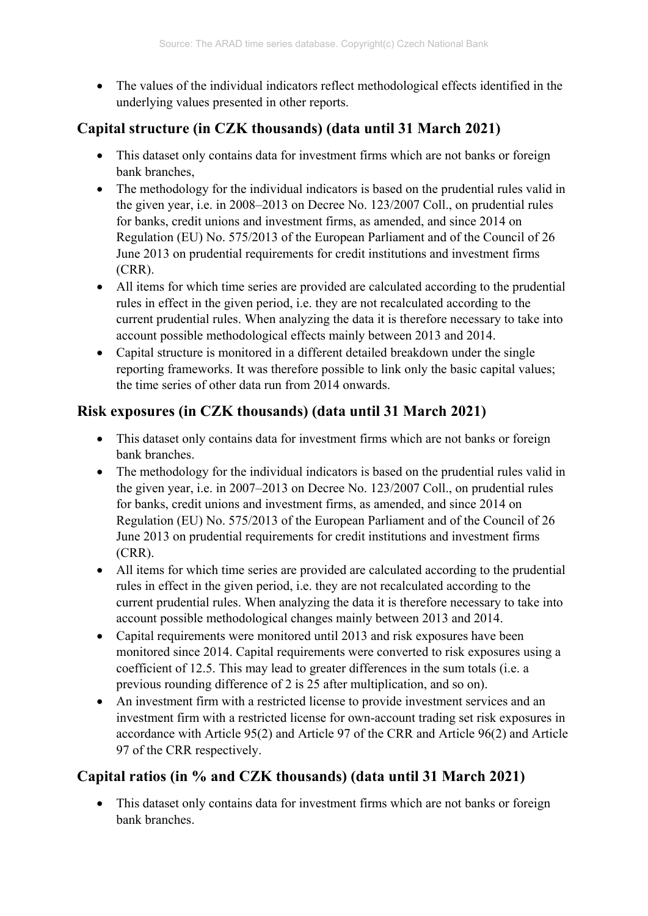• The values of the individual indicators reflect methodological effects identified in the underlying values presented in other reports.

### **Capital structure (in CZK thousands) (data until 31 March 2021)**

- This dataset only contains data for investment firms which are not banks or foreign bank branches,
- The methodology for the individual indicators is based on the prudential rules valid in the given year, i.e. in 2008–2013 on Decree No. 123/2007 Coll., on prudential rules for banks, credit unions and investment firms, as amended, and since 2014 on Regulation (EU) No. 575/2013 of the European Parliament and of the Council of 26 June 2013 on prudential requirements for credit institutions and investment firms (CRR).
- All items for which time series are provided are calculated according to the prudential rules in effect in the given period, i.e. they are not recalculated according to the current prudential rules. When analyzing the data it is therefore necessary to take into account possible methodological effects mainly between 2013 and 2014.
- Capital structure is monitored in a different detailed breakdown under the single reporting frameworks. It was therefore possible to link only the basic capital values; the time series of other data run from 2014 onwards.

### **Risk exposures (in CZK thousands) (data until 31 March 2021)**

- This dataset only contains data for investment firms which are not banks or foreign bank branches.
- The methodology for the individual indicators is based on the prudential rules valid in the given year, i.e. in 2007–2013 on Decree No. 123/2007 Coll., on prudential rules for banks, credit unions and investment firms, as amended, and since 2014 on Regulation (EU) No. 575/2013 of the European Parliament and of the Council of 26 June 2013 on prudential requirements for credit institutions and investment firms (CRR).
- All items for which time series are provided are calculated according to the prudential rules in effect in the given period, i.e. they are not recalculated according to the current prudential rules. When analyzing the data it is therefore necessary to take into account possible methodological changes mainly between 2013 and 2014.
- Capital requirements were monitored until 2013 and risk exposures have been monitored since 2014. Capital requirements were converted to risk exposures using a coefficient of 12.5. This may lead to greater differences in the sum totals (i.e. a previous rounding difference of 2 is 25 after multiplication, and so on).
- An investment firm with a restricted license to provide investment services and an investment firm with a restricted license for own-account trading set risk exposures in accordance with Article 95(2) and Article 97 of the CRR and Article 96(2) and Article 97 of the CRR respectively.

### **Capital ratios (in % and CZK thousands) (data until 31 March 2021)**

 This dataset only contains data for investment firms which are not banks or foreign bank branches.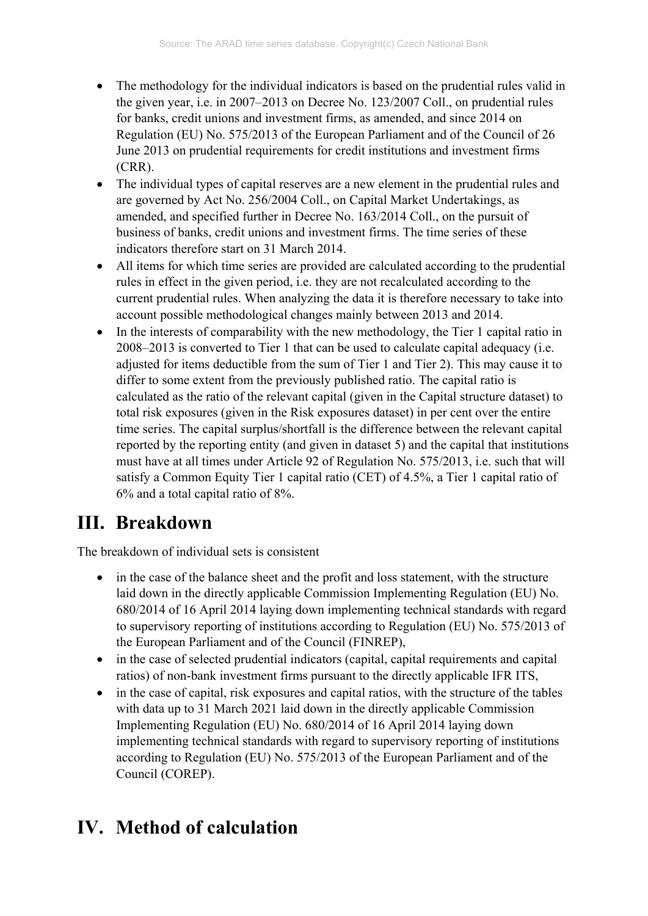- The methodology for the individual indicators is based on the prudential rules valid in the given year, i.e. in 2007–2013 on Decree No. 123/2007 Coll., on prudential rules for banks, credit unions and investment firms, as amended, and since 2014 on Regulation (EU) No. 575/2013 of the European Parliament and of the Council of 26 June 2013 on prudential requirements for credit institutions and investment firms (CRR).
- The individual types of capital reserves are a new element in the prudential rules and are governed by Act No. 256/2004 Coll., on Capital Market Undertakings, as amended, and specified further in Decree No. 163/2014 Coll., on the pursuit of business of banks, credit unions and investment firms. The time series of these indicators therefore start on 31 March 2014.
- All items for which time series are provided are calculated according to the prudential rules in effect in the given period, i.e. they are not recalculated according to the current prudential rules. When analyzing the data it is therefore necessary to take into account possible methodological changes mainly between 2013 and 2014.
- In the interests of comparability with the new methodology, the Tier 1 capital ratio in 2008–2013 is converted to Tier 1 that can be used to calculate capital adequacy (i.e. adjusted for items deductible from the sum of Tier 1 and Tier 2). This may cause it to differ to some extent from the previously published ratio. The capital ratio is calculated as the ratio of the relevant capital (given in the Capital structure dataset) to total risk exposures (given in the Risk exposures dataset) in per cent over the entire time series. The capital surplus/shortfall is the difference between the relevant capital reported by the reporting entity (and given in dataset 5) and the capital that institutions must have at all times under Article 92 of Regulation No. 575/2013, i.e. such that will satisfy a Common Equity Tier 1 capital ratio (CET) of 4.5%, a Tier 1 capital ratio of 6% and a total capital ratio of 8%.

# **III. Breakdown**

The breakdown of individual sets is consistent

- in the case of the balance sheet and the profit and loss statement, with the structure laid down in the directly applicable Commission Implementing Regulation (EU) No. 680/2014 of 16 April 2014 laying down implementing technical standards with regard to supervisory reporting of institutions according to Regulation (EU) No. 575/2013 of the European Parliament and of the Council (FINREP),
- in the case of selected prudential indicators (capital, capital requirements and capital ratios) of non-bank investment firms pursuant to the directly applicable IFR ITS,
- in the case of capital, risk exposures and capital ratios, with the structure of the tables with data up to 31 March 2021 laid down in the directly applicable Commission Implementing Regulation (EU) No. 680/2014 of 16 April 2014 laying down implementing technical standards with regard to supervisory reporting of institutions according to Regulation (EU) No. 575/2013 of the European Parliament and of the Council (COREP).

# **IV. Method of calculation**